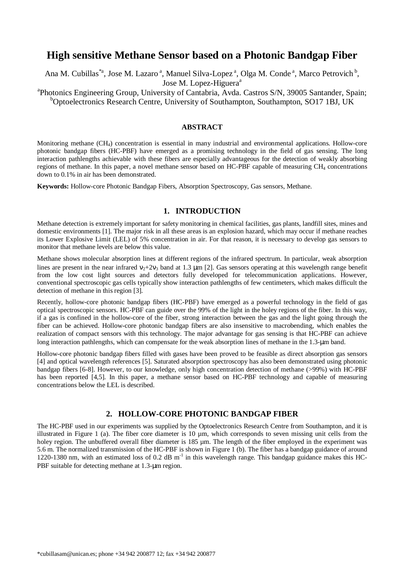# **High sensitive Methane Sensor based on a Photonic Bandgap Fiber**

Ana M. Cubillas<sup>\*a</sup>, Jose M. Lazaro<sup>a</sup>, Manuel Silva-Lopez<sup>a</sup>, Olga M. Conde<sup>a</sup>, Marco Petrovich<sup>b</sup>, Jose M. Lopez-Higuera<sup>a</sup>

<sup>a</sup>Photonics Engineering Group, University of Cantabria, Avda. Castros S/N, 39005 Santander, Spain;  $b$ Optoelectronics Research Centre, University of Southampton, Southampton, SO17 1BJ, UK

## **ABSTRACT**

Monitoring methane (CH4) concentration is essential in many industrial and environmental applications. Hollow-core photonic bandgap fibers (HC-PBF) have emerged as a promising technology in the field of gas sensing. The long interaction pathlengths achievable with these fibers are especially advantageous for the detection of weakly absorbing regions of methane. In this paper, a novel methane sensor based on HC-PBF capable of measuring CH4 concentrations down to 0.1% in air has been demonstrated.

**Keywords:** Hollow-core Photonic Bandgap Fibers, Absorption Spectroscopy, Gas sensors, Methane.

# **1. INTRODUCTION**

Methane detection is extremely important for safety monitoring in chemical facilities, gas plants, landfill sites, mines and domestic environments [1]. The major risk in all these areas is an explosion hazard, which may occur if methane reaches its Lower Explosive Limit (LEL) of 5% concentration in air. For that reason, it is necessary to develop gas sensors to monitor that methane levels are below this value.

Methane shows molecular absorption lines at different regions of the infrared spectrum. In particular, weak absorption lines are present in the near infrared  $v_2+2v_3$  band at 1.3  $\mu$ m [2]. Gas sensors operating at this wavelength range benefit from the low cost light sources and detectors fully developed for telecommunication applications. However, conventional spectroscopic gas cells typically show interaction pathlengths of few centimeters, which makes difficult the detection of methane in this region [3].

Recently, hollow-core photonic bandgap fibers (HC-PBF) have emerged as a powerful technology in the field of gas optical spectroscopic sensors. HC-PBF can guide over the 99% of the light in the holey regions of the fiber. In this way, if a gas is confined in the hollow-core of the fiber, strong interaction between the gas and the light going through the fiber can be achieved. Hollow-core photonic bandgap fibers are also insensitive to macrobending, which enables the realization of compact sensors with this technology. The major advantage for gas sensing is that HC-PBF can achieve long interaction pathlengths, which can compensate for the weak absorption lines of methane in the 1.3-µm band.

Hollow-core photonic bandgap fibers filled with gases have been proved to be feasible as direct absorption gas sensors [4] and optical wavelength references [5]. Saturated absorption spectroscopy has also been demonstrated using photonic bandgap fibers [6-8]. However, to our knowledge, only high concentration detection of methane (>99%) with HC-PBF has been reported [4,5]. In this paper, a methane sensor based on HC-PBF technology and capable of measuring concentrations below the LEL is described.

# **2. HOLLOW-CORE PHOTONIC BANDGAP FIBER**

The HC-PBF used in our experiments was supplied by the Optoelectronics Research Centre from Southampton, and it is illustrated in Figure 1 (a). The fiber core diameter is 10 µm, which corresponds to seven missing unit cells from the holey region. The unbuffered overall fiber diameter is 185 µm. The length of the fiber employed in the experiment was 5.6 m. The normalized transmission of the HC-PBF is shown in Figure 1 (b). The fiber has a bandgap guidance of around 1220-1380 nm, with an estimated loss of 0.2 dB  $m^{-1}$  in this wavelength range. This bandgap guidance makes this HC-PBF suitable for detecting methane at 1.3-µm region.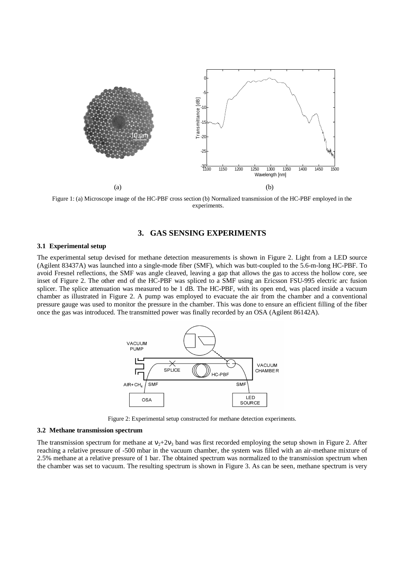

Figure 1: (a) Microscope image of the HC-PBF cross section (b) Normalized transmission of the HC-PBF employed in the experiments.

# **3. GAS SENSING EXPERIMENTS**

#### **3.1 Experimental setup**

The experimental setup devised for methane detection measurements is shown in Figure 2. Light from a LED source (Agilent 83437A) was launched into a single-mode fiber (SMF), which was butt-coupled to the 5.6-m-long HC-PBF. To avoid Fresnel reflections, the SMF was angle cleaved, leaving a gap that allows the gas to access the hollow core, see inset of Figure 2. The other end of the HC-PBF was spliced to a SMF using an Ericsson FSU-995 electric arc fusion splicer. The splice attenuation was measured to be 1 dB. The HC-PBF, with its open end, was placed inside a vacuum chamber as illustrated in Figure 2. A pump was employed to evacuate the air from the chamber and a conventional pressure gauge was used to monitor the pressure in the chamber. This was done to ensure an efficient filling of the fiber once the gas was introduced. The transmitted power was finally recorded by an OSA (Agilent 86142A).



Figure 2: Experimental setup constructed for methane detection experiments.

#### **3.2 Methane transmission spectrum**

The transmission spectrum for methane at  $v_2+2v_3$  band was first recorded employing the setup shown in Figure 2. After reaching a relative pressure of -500 mbar in the vacuum chamber, the system was filled with an air-methane mixture of 2.5% methane at a relative pressure of 1 bar. The obtained spectrum was normalized to the transmission spectrum when the chamber was set to vacuum. The resulting spectrum is shown in Figure 3. As can be seen, methane spectrum is very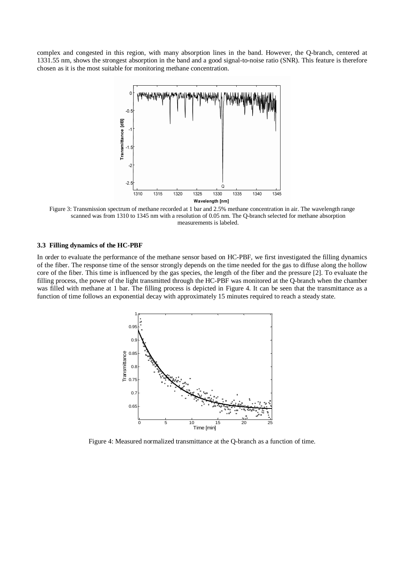complex and congested in this region, with many absorption lines in the band. However, the Q-branch, centered at 1331.55 nm, shows the strongest absorption in the band and a good signal-to-noise ratio (SNR). This feature is therefore chosen as it is the most suitable for monitoring methane concentration.



Figure 3: Transmission spectrum of methane recorded at 1 bar and 2.5% methane concentration in air. The wavelength range scanned was from 1310 to 1345 nm with a resolution of 0.05 nm. The Q-branch selected for methane absorption measurements is labeled.

#### **3.3 Filling dynamics of the HC-PBF**

In order to evaluate the performance of the methane sensor based on HC-PBF, we first investigated the filling dynamics of the fiber. The response time of the sensor strongly depends on the time needed for the gas to diffuse along the hollow core of the fiber. This time is influenced by the gas species, the length of the fiber and the pressure [2]. To evaluate the filling process, the power of the light transmitted through the HC-PBF was monitored at the Q-branch when the chamber was filled with methane at 1 bar. The filling process is depicted in Figure 4. It can be seen that the transmittance as a function of time follows an exponential decay with approximately 15 minutes required to reach a steady state.



Figure 4: Measured normalized transmittance at the Q-branch as a function of time.